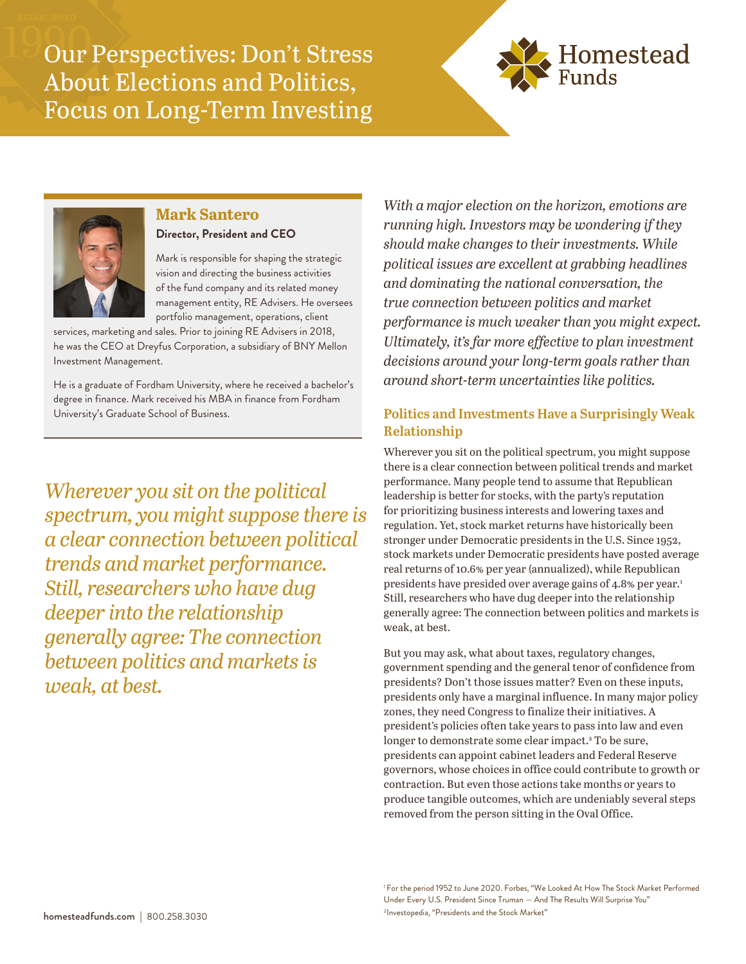Our Perspectives: Don't Stress About Elections and Politics, Focus on Long-Term Investing





#### **Mark Santero**

#### **Director, President and CEO**

Mark is responsible for shaping the strategic vision and directing the business activities of the fund company and its related money management entity, RE Advisers. He oversees portfolio management, operations, client

services, marketing and sales. Prior to joining RE Advisers in 2018, he was the CEO at Dreyfus Corporation, a subsidiary of BNY Mellon Investment Management.

He is a graduate of Fordham University, where he received a bachelor's degree in finance. Mark received his MBA in finance from Fordham University's Graduate School of Business.

*Wherever you sit on the political spectrum, you might suppose there is a clear connection between political trends and market performance. Still, researchers who have dug deeper into the relationship generally agree: The connection between politics and markets is weak, at best.*

*With a major election on the horizon, emotions are running high. Investors may be wondering if they should make changes to their investments. While political issues are excellent at grabbing headlines and dominating the national conversation, the true connection between politics and market performance is much weaker than you might expect. Ultimately, it's far more effective to plan investment decisions around your long-term goals rather than around short-term uncertainties like politics.*

## **Politics and Investments Have a Surprisingly Weak Relationship**

Wherever you sit on the political spectrum, you might suppose there is a clear connection between political trends and market performance. Many people tend to assume that Republican leadership is better for stocks, with the party's reputation for prioritizing business interests and lowering taxes and regulation. Yet, stock market returns have historically been stronger under Democratic presidents in the U.S. Since 1952, stock markets under Democratic presidents have posted average real returns of 10.6% per year (annualized), while Republican presidents have presided over average gains of 4.8% per year.<sup>1</sup> Still, researchers who have dug deeper into the relationship generally agree: The connection between politics and markets is weak, at best.

But you may ask, what about taxes, regulatory changes, government spending and the general tenor of confidence from presidents? Don't those issues matter? Even on these inputs, presidents only have a marginal influence. In many major policy zones, they need Congress to finalize their initiatives. A president's policies often take years to pass into law and even longer to demonstrate some clear impact.<sup>2</sup> To be sure, presidents can appoint cabinet leaders and Federal Reserve governors, whose choices in office could contribute to growth or contraction. But even those actions take months or years to produce tangible outcomes, which are undeniably several steps removed from the person sitting in the Oval Office.

<sup>1</sup> For the period 1952 to June 2020. Forbes, "We Looked At How The Stock Market Performed Under Every U.S. President Since Truman — And The Results Will Surprise You" 2 Investopedia, "Presidents and the Stock Market"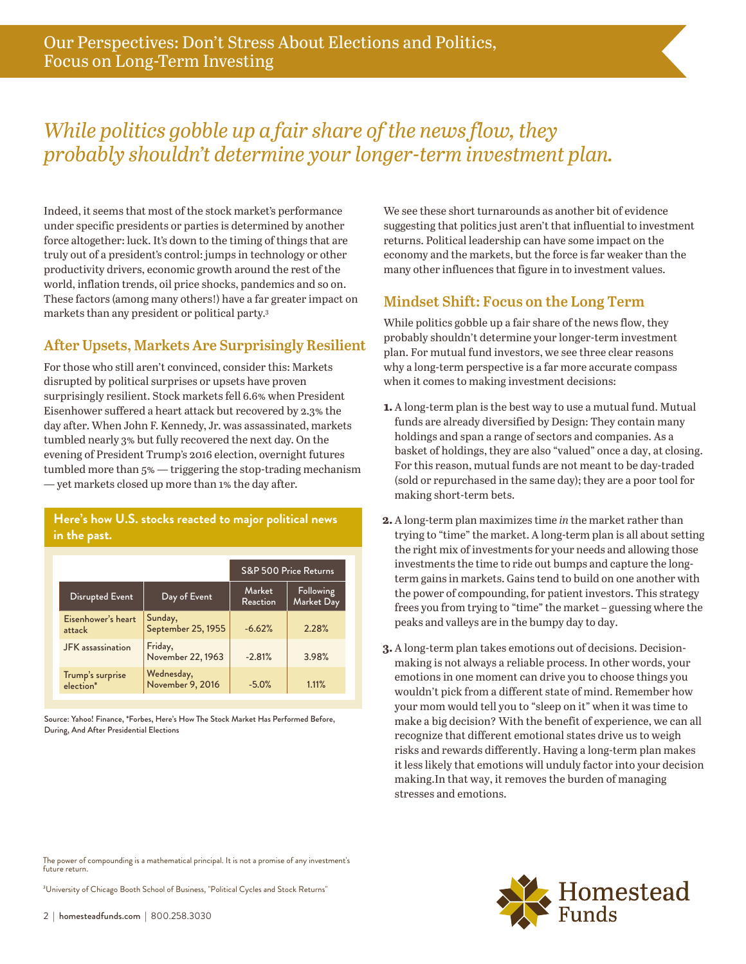## *While politics gobble up a fair share of the news flow, they probably shouldn't determine your longer-term investment plan.*

Indeed, it seems that most of the stock market's performance under specific presidents or parties is determined by another force altogether: luck. It's down to the timing of things that are truly out of a president's control: jumps in technology or other productivity drivers, economic growth around the rest of the world, inflation trends, oil price shocks, pandemics and so on. These factors (among many others!) have a far greater impact on markets than any president or political party.3

## **After Upsets, Markets Are Surprisingly Resilient**

For those who still aren't convinced, consider this: Markets disrupted by political surprises or upsets have proven surprisingly resilient. Stock markets fell 6.6% when President Eisenhower suffered a heart attack but recovered by 2.3% the day after. When John F. Kennedy, Jr. was assassinated, markets tumbled nearly 3% but fully recovered the next day. On the evening of President Trump's 2016 election, overnight futures tumbled more than 5% — triggering the stop-trading mechanism — yet markets closed up more than 1% the day after.

#### **Here's how U.S. stocks reacted to major political news in the past.**

|                                           |                                | S&P 500 Price Returns |                         |
|-------------------------------------------|--------------------------------|-----------------------|-------------------------|
| Disrupted Event                           | Day of Event                   | Market<br>Reaction    | Following<br>Market Day |
| Eisenhower's heart<br>attack              | Sunday,<br>September 25, 1955  | $-6.62%$              | 2.28%                   |
| <b>JFK</b> assassination                  | Friday,<br>November 22, 1963   | $-2.81%$              | 3.98%                   |
| Trump's surprise<br>election <sup>*</sup> | Wednesday,<br>November 9, 2016 | $-5.0%$               | 1.11%                   |

Source: Yahoo! Finance, \*Forbes, Here's How The Stock Market Has Performed Before, During, And After Presidential Elections

We see these short turnarounds as another bit of evidence suggesting that politics just aren't that influential to investment returns. Political leadership can have some impact on the economy and the markets, but the force is far weaker than the many other influences that figure in to investment values.

## **Mindset Shift: Focus on the Long Term**

While politics gobble up a fair share of the news flow, they probably shouldn't determine your longer-term investment plan. For mutual fund investors, we see three clear reasons why a long-term perspective is a far more accurate compass when it comes to making investment decisions:

- **1.** A long-term plan is the best way to use a mutual fund. Mutual funds are already diversified by Design: They contain many holdings and span a range of sectors and companies. As a basket of holdings, they are also "valued" once a day, at closing. For this reason, mutual funds are not meant to be day-traded (sold or repurchased in the same day); they are a poor tool for making short-term bets.
- **2.** A long-term plan maximizes time *in* the market rather than trying to "time" the market. A long-term plan is all about setting the right mix of investments for your needs and allowing those investments the time to ride out bumps and capture the longterm gains in markets. Gains tend to build on one another with the power of compounding, for patient investors. This strategy frees you from trying to "time" the market – guessing where the peaks and valleys are in the bumpy day to day.
- **3.** A long-term plan takes emotions out of decisions. Decisionmaking is not always a reliable process. In other words, your emotions in one moment can drive you to choose things you wouldn't pick from a different state of mind. Remember how your mom would tell you to "sleep on it" when it was time to make a big decision? With the benefit of experience, we can all recognize that different emotional states drive us to weigh risks and rewards differently. Having a long-term plan makes it less likely that emotions will unduly factor into your decision making.In that way, it removes the burden of managing stresses and emotions.

The power of compounding is a mathematical principal. It is not a promise of any investment's future return.

<sup>3</sup>University of Chicago Booth School of Business, "Political Cycles and Stock Returns"

2 | homesteadfunds.com | 800.258.3030